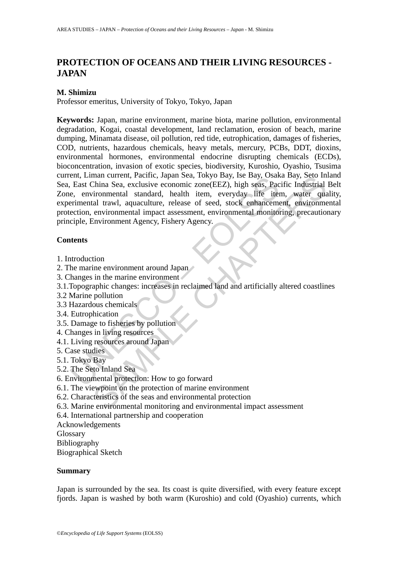# **PROTECTION OF OCEANS AND THEIR LIVING RESOURCES - JAPAN**

### **M. Shimizu**

Professor emeritus, University of Tokyo, Tokyo, Japan

ent, Limian current, racint, stapin sea, tokyo Bay, see Bay, Osak,<br>
E. East China Sea, exclusive economic zone(EEZ), high seas, Pac<br>
e, environmental standard, health item, everyday life iter-<br>
erimental trawl, aquaculture man current, racinc, Japan Sea, I okyo Bay, USB Bay, USBA a Bay, Octava<br>China Sea, exclusive economic zone(EEZ), high seas, Pacific Industrial<br>ironmental standard, health item, everyday life item, water qual<br>al trawl, aqua **Keywords:** Japan, marine environment, marine biota, marine pollution, environmental degradation, Kogai, coastal development, land reclamation, erosion of beach, marine dumping, Minamata disease, oil pollution, red tide, eutrophication, damages of fisheries, COD, nutrients, hazardous chemicals, heavy metals, mercury, PCBs, DDT, dioxins, environmental hormones, environmental endocrine disrupting chemicals (ECDs), bioconcentration, invasion of exotic species, biodiversity, Kuroshio, Oyashio, Tsusima current, Liman current, Pacific, Japan Sea, Tokyo Bay, Ise Bay, Osaka Bay, Seto Inland Sea, East China Sea, exclusive economic zone(EEZ), high seas, Pacific Industrial Belt Zone, environmental standard, health item, everyday life item, water quality, experimental trawl, aquaculture, release of seed, stock enhancement, environmental protection, environmental impact assessment, environmental monitoring, precautionary principle, Environment Agency, Fishery Agency.

#### **Contents**

- 1. Introduction
- 2. The marine environment around Japan
- 3. Changes in the marine environment
- 3.1.Topographic changes: increases in reclaimed land and artificially altered coastlines
- 3.2 Marine pollution
- 3.3 Hazardous chemicals
- 3.4. Eutrophication
- 3.5. Damage to fisheries by pollution
- 4. Changes in living resources
- 4.1. Living resources around Japan
- 5. Case studies
- 5.1. Tokyo Bay
- 5.2. The Seto Inland Sea
- 6. Environmental protection: How to go forward
- 6.1. The viewpoint on the protection of marine environment
- 6.2. Characteristics of the seas and environmental protection
- 6.3. Marine environmental monitoring and environmental impact assessment
- 6.4. International partnership and cooperation
- Acknowledgements
- Glossary
- Bibliography

Biographical Sketch

#### **Summary**

Japan is surrounded by the sea. Its coast is quite diversified, with every feature except fjords. Japan is washed by both warm (Kuroshio) and cold (Oyashio) currents, which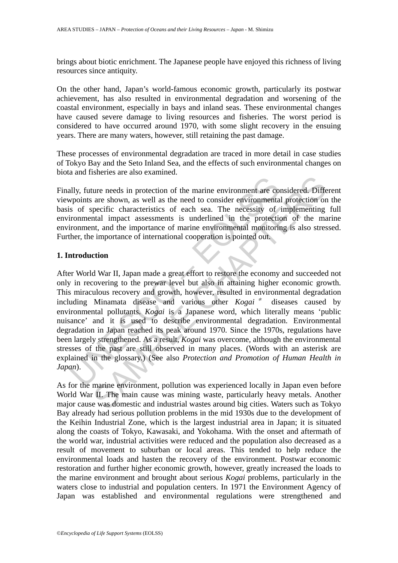brings about biotic enrichment. The Japanese people have enjoyed this richness of living resources since antiquity.

On the other hand, Japan's world-famous economic growth, particularly its postwar achievement, has also resulted in environmental degradation and worsening of the coastal environment, especially in bays and inland seas. These environmental changes have caused severe damage to living resources and fisheries. The worst period is considered to have occurred around 1970, with some slight recovery in the ensuing years. There are many waters, however, still retaining the past damage.

These processes of environmental degradation are traced in more detail in case studies of Tokyo Bay and the Seto Inland Sea, and the effects of such environmental changes on biota and fisheries are also examined.

Finally, future needs in protection of the marine environment are considered. Different viewpoints are shown, as well as the need to consider environmental protection on the basis of specific characteristics of each sea. The necessity of implementing full environmental impact assessments is underlined in the protection of the marine environment, and the importance of marine environmental monitoring is also stressed. Further, the importance of international cooperation is pointed out.

#### **1. Introduction**

ally, future needs in protection of the marine environment are co<br>points are shown, as well as the need to consider environmenta<br>so f specific characteristics of each sea. The necessity of<br>ironmental impact assessments is ure needs in protection of the marine environment are considered Diffust are shown, as well as the need to consider environmental protection on pecific characteristics of each sea. The necessity of implementing metal, impa After World War II, Japan made a great effort to restore the economy and succeeded not only in recovering to the prewar level but also in attaining higher economic growth. This miraculous recovery and growth, however, resulted in environmental degradation including Minamata disease and various other *Kogai* \* diseases caused by environmental pollutants. *Kogai* is a Japanese word, which literally means 'public nuisance' and it is used to describe environmental degradation. Environmental degradation in Japan reached its peak around 1970. Since the 1970s, regulations have been largely strengthened. As a result, *Kogai* was overcome, although the environmental stresses of the past are still observed in many places. (Words with an asterisk are explained in the glossary.) (See also *Protection and Promotion of Human Health in Japan*).

As for the marine environment, pollution was experienced locally in Japan even before World War II. The main cause was mining waste, particularly heavy metals. Another major cause was domestic and industrial wastes around big cities. Waters such as Tokyo Bay already had serious pollution problems in the mid 1930s due to the development of the Keihin Industrial Zone, which is the largest industrial area in Japan; it is situated along the coasts of Tokyo, Kawasaki, and Yokohama. With the onset and aftermath of the world war, industrial activities were reduced and the population also decreased as a result of movement to suburban or local areas. This tended to help reduce the environmental loads and hasten the recovery of the environment. Postwar economic restoration and further higher economic growth, however, greatly increased the loads to the marine environment and brought about serious *Kogai* problems, particularly in the waters close to industrial and population centers. In 1971 the Environment Agency of Japan was established and environmental regulations were strengthened and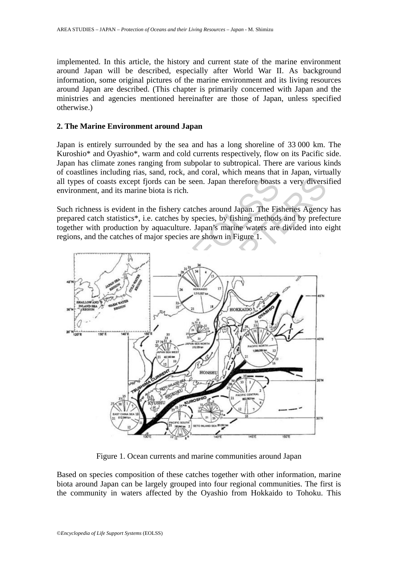implemented. In this article, the history and current state of the marine environment around Japan will be described, especially after World War II. As background information, some original pictures of the marine environment and its living resources around Japan are described. (This chapter is primarily concerned with Japan and the ministries and agencies mentioned hereinafter are those of Japan, unless specified otherwise.)

#### **2. The Marine Environment around Japan**

Japan is entirely surrounded by the sea and has a long shoreline of 33 000 km. The Kuroshio\* and Oyashio\*, warm and cold currents respectively, flow on its Pacific side. Japan has climate zones ranging from subpolar to subtropical. There are various kinds of coastlines including rias, sand, rock, and coral, which means that in Japan, virtually all types of coasts except fjords can be seen. Japan therefore boasts a very diversified environment, and its marine biota is rich.

Such richness is evident in the fishery catches around Japan. The Fisheries Agency has prepared catch statistics\*, i.e. catches by species, by fishing methods and by prefecture together with production by aquaculture. Japan's marine waters are divided into eight regions, and the catches of major species are shown in Figure 1.



Figure 1. Ocean currents and marine communities around Japan

Based on species composition of these catches together with other information, marine biota around Japan can be largely grouped into four regional communities. The first is the community in waters affected by the Oyashio from Hokkaido to Tohoku. This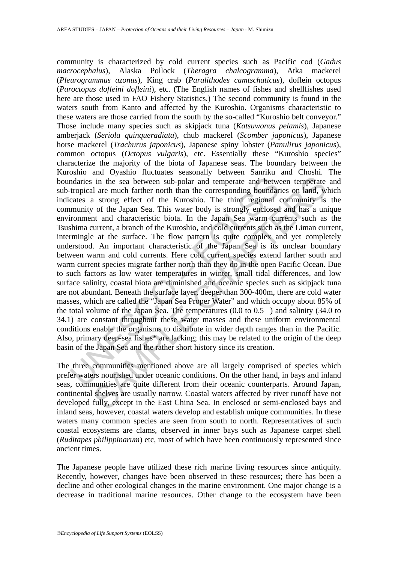ndaries in the sea between sub-polar and temperate and betwe<br>tropical are much farther north than the corresponding boundar<br>cates a strong effect of the Kuroshio. The third regional<br>munity of the Japan Sea. This water body in the sea between sub-polar and temperate and between temperate<br>a lare much farther north than the corresponding boundaries on land, w<br>a strong effect of the Kuroshio. The third regional community is<br>a strong of the Japa community is characterized by cold current species such as Pacific cod (*Gadus macrocephalus*), Alaska Pollock (*Theragra chalcogramma*), Atka mackerel (*Pleurogrammus azonus*), King crab (*Paralithodes camtschaticus*), doflein octopus (*Paroctopus dofleini dofleini*), etc. (The English names of fishes and shellfishes used here are those used in FAO Fishery Statistics.) The second community is found in the waters south from Kanto and affected by the Kuroshio. Organisms characteristic to these waters are those carried from the south by the so-called "Kuroshio belt conveyor." Those include many species such as skipjack tuna (*Katsuwonus pelamis*), Japanese amberjack (*Seriola quinqueradiata*), chub mackerel (*Scomber japonicus*), Japanese horse mackerel (*Trachurus japonicus*), Japanese spiny lobster (*Panulirus japonicus*), common octopus (*Octopus vulgaris*), etc. Essentially these "Kuroshio species" characterize the majority of the biota of Japanese seas. The boundary between the Kuroshio and Oyashio fluctuates seasonally between Sanriku and Choshi. The boundaries in the sea between sub-polar and temperate and between temperate and sub-tropical are much farther north than the corresponding boundaries on land, which indicates a strong effect of the Kuroshio. The third regional community is the community of the Japan Sea. This water body is strongly enclosed and has a unique environment and characteristic biota. In the Japan Sea warm currents such as the Tsushima current, a branch of the Kuroshio, and cold currents such as the Liman current, intermingle at the surface. The flow pattern is quite complex and yet completely understood. An important characteristic of the Japan Sea is its unclear boundary between warm and cold currents. Here cold current species extend farther south and warm current species migrate farther north than they do in the open Pacific Ocean. Due to such factors as low water temperatures in winter, small tidal differences, and low surface salinity, coastal biota are diminished and oceanic species such as skipjack tuna are not abundant. Beneath the surface layer, deeper than 300-400m, there are cold water masses, which are called the "Japan Sea Proper Water" and which occupy about 85% of the total volume of the Japan Sea. The temperatures  $(0.0 \text{ to } 0.5)$  and salinity (34.0 to 34.1) are constant throughout these water masses and these uniform environmental conditions enable the organisms to distribute in wider depth ranges than in the Pacific. Also, primary deep-sea fishes\* are lacking; this may be related to the origin of the deep basin of the Japan Sea and the rather short history since its creation.

The three communities mentioned above are all largely comprised of species which prefer waters nourished under oceanic conditions. On the other hand, in bays and inland seas, communities are quite different from their oceanic counterparts. Around Japan, continental shelves are usually narrow. Coastal waters affected by river runoff have not developed fully, except in the East China Sea. In enclosed or semi-enclosed bays and inland seas, however, coastal waters develop and establish unique communities. In these waters many common species are seen from south to north. Representatives of such coastal ecosystems are clams, observed in inner bays such as Japanese carpet shell (*Ruditapes philippinarum*) etc, most of which have been continuously represented since ancient times.

The Japanese people have utilized these rich marine living resources since antiquity. Recently, however, changes have been observed in these resources; there has been a decline and other ecological changes in the marine environment. One major change is a decrease in traditional marine resources. Other change to the ecosystem have been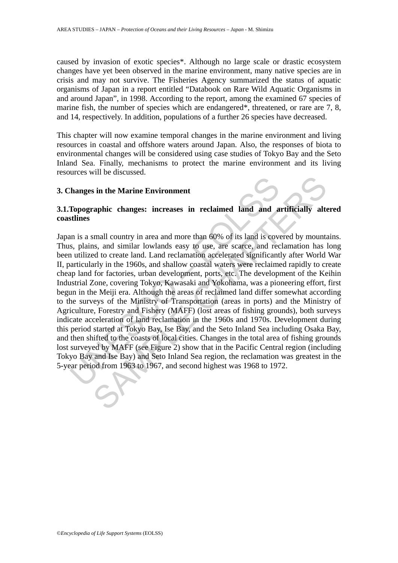caused by invasion of exotic species\*. Although no large scale or drastic ecosystem changes have yet been observed in the marine environment, many native species are in crisis and may not survive. The Fisheries Agency summarized the status of aquatic organisms of Japan in a report entitled "Databook on Rare Wild Aquatic Organisms in and around Japan", in 1998. According to the report, among the examined 67 species of marine fish, the number of species which are endangered\*, threatened, or rare are 7, 8, and 14, respectively. In addition, populations of a further 26 species have decreased.

This chapter will now examine temporal changes in the marine environment and living resources in coastal and offshore waters around Japan. Also, the responses of biota to environmental changes will be considered using case studies of Tokyo Bay and the Seto Inland Sea. Finally, mechanisms to protect the marine environment and its living resources will be discussed.

#### **3. Changes in the Marine Environment**

## **3.1.Topographic changes: increases in reclaimed land and artificially altered coastlines**

Thanges in the Marine Environment<br>
Topographic changes: increases in reclaimed land and a<br>
stlines<br>
in is a small country in area and more than 60% of its land is cover<br>
s, plains, and similar lowlands easy to use, are sca is in the Marine Environment<br>
and and and artificially alternation.<br>
Taphic changes: increases in reclaimed land and artificially alternation<br>
SES amplicant means and more than 60% of its land is covered by mount<br>
SES and Japan is a small country in area and more than 60% of its land is covered by mountains. Thus, plains, and similar lowlands easy to use, are scarce, and reclamation has long been utilized to create land. Land reclamation accelerated significantly after World War II, particularly in the 1960s, and shallow coastal waters were reclaimed rapidly to create cheap land for factories, urban development, ports, etc. The development of the Keihin Industrial Zone, covering Tokyo, Kawasaki and Yokohama, was a pioneering effort, first begun in the Meiji era. Although the areas of reclaimed land differ somewhat according to the surveys of the Ministry of Transportation (areas in ports) and the Ministry of Agriculture, Forestry and Fishery (MAFF) (lost areas of fishing grounds), both surveys indicate acceleration of land reclamation in the 1960s and 1970s. Development during this period started at Tokyo Bay, Ise Bay, and the Seto Inland Sea including Osaka Bay, and then shifted to the coasts of local cities. Changes in the total area of fishing grounds lost surveyed by MAFF (see Figure 2) show that in the Pacific Central region (including Tokyo Bay and Ise Bay) and Seto Inland Sea region, the reclamation was greatest in the 5-year period from 1963 to 1967, and second highest was 1968 to 1972.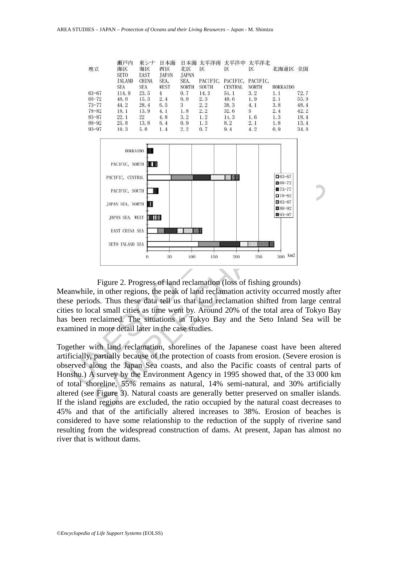

#### Figure 2. Progress of land reclamation (loss of fishing grounds)

Meanwhile, in other regions, the peak of land reclamation activity occurred mostly after these periods. Thus these data tell us that land reclamation shifted from large central cities to local small cities as time went by. Around 20% of the total area of Tokyo Bay has been reclaimed. The situations in Tokyo Bay and the Seto Inland Sea will be examined in more detail later in the case studies.

Together with land reclamation, shorelines of the Japanese coast have been altered artificially, partially because of the protection of coasts from erosion. (Severe erosion is observed along the Japan Sea coasts, and also the Pacific coasts of central parts of Honshu.) A survey by the Environment Agency in 1995 showed that, of the 33 000 km of total shoreline, 55% remains as natural, 14% semi-natural, and 30% artificially altered (see Figure 3). Natural coasts are generally better preserved on smaller islands. If the island regions are excluded, the ratio occupied by the natural coast decreases to 45% and that of the artificially altered increases to 38%. Erosion of beaches is considered to have some relationship to the reduction of the supply of riverine sand resulting from the widespread construction of dams. At present, Japan has almost no river that is without dams.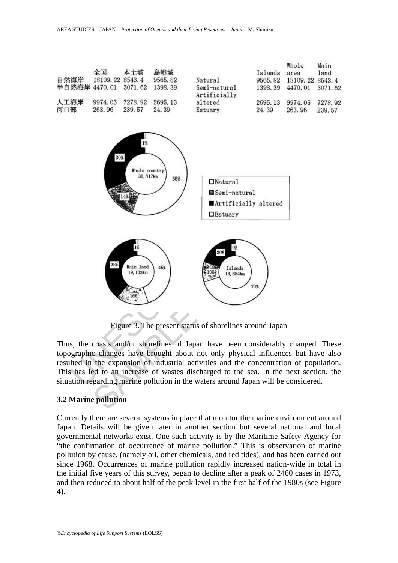

Thus, the coasts and/or shorelines of Japan have been considerably changed. These topographic changes have brought about not only physical influences but have also resulted in the expansion of industrial activities and the concentration of population. This has led to an increase of wastes discharged to the sea. In the next section, the

situation regarding marine pollution in the waters around Japan will be considered.

### **3.2 Marine pollution**

Currently there are several systems in place that monitor the marine environment around Japan. Details will be given later in another section but several national and local governmental networks exist. One such activity is by the Maritime Safety Agency for "the confirmation of occurrence of marine pollution." This is observation of marine pollution by cause, (namely oil, other chemicals, and red tides), and has been carried out since 1968. Occurrences of marine pollution rapidly increased nation-wide in total in the initial five years of this survey, began to decline after a peak of 2460 cases in 1973, and then reduced to about half of the peak level in the first half of the 1980s (see Figure 4).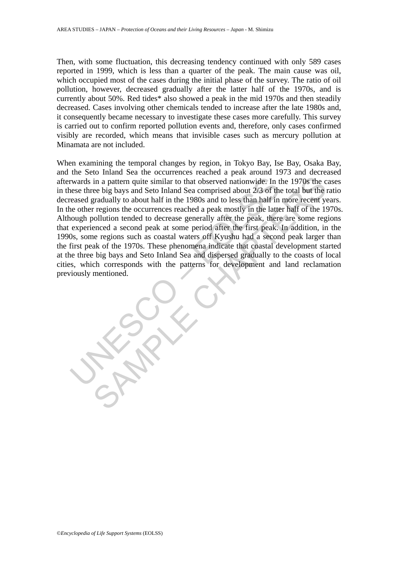Then, with some fluctuation, this decreasing tendency continued with only 589 cases reported in 1999, which is less than a quarter of the peak. The main cause was oil, which occupied most of the cases during the initial phase of the survey. The ratio of oil pollution, however, decreased gradually after the latter half of the 1970s, and is currently about 50%. Red tides\* also showed a peak in the mid 1970s and then steadily decreased. Cases involving other chemicals tended to increase after the late 1980s and, it consequently became necessary to investigate these cases more carefully. This survey is carried out to confirm reported pollution events and, therefore, only cases confirmed visibly are recorded, which means that invisible cases such as mercury pollution at Minamata are not included.

reader in a pattern quite similar to that observed nationwide. In these three big bays and Seto Inland Sea comprised about 2/3 of the reased gradually to about half in the 1980s and to less than half in each measure of reg in a pattern quite similar to that observed nationwide. In the 1970s the cee big bays and Seto Inland Sea comprised about 2/3 of the total but the preduduly to about half in the 1988 and to less than half in more recent y When examining the temporal changes by region, in Tokyo Bay, Ise Bay, Osaka Bay, and the Seto Inland Sea the occurrences reached a peak around 1973 and decreased afterwards in a pattern quite similar to that observed nationwide. In the 1970s the cases in these three big bays and Seto Inland Sea comprised about 2/3 of the total but the ratio decreased gradually to about half in the 1980s and to less than half in more recent years. In the other regions the occurrences reached a peak mostly in the latter half of the 1970s. Although pollution tended to decrease generally after the peak, there are some regions that experienced a second peak at some period after the first peak. In addition, in the 1990s, some regions such as coastal waters off Kyushu had a second peak larger than the first peak of the 1970s. These phenomena indicate that coastal development started at the three big bays and Seto Inland Sea and dispersed gradually to the coasts of local cities, which corresponds with the patterns for development and land reclamation previously mentioned.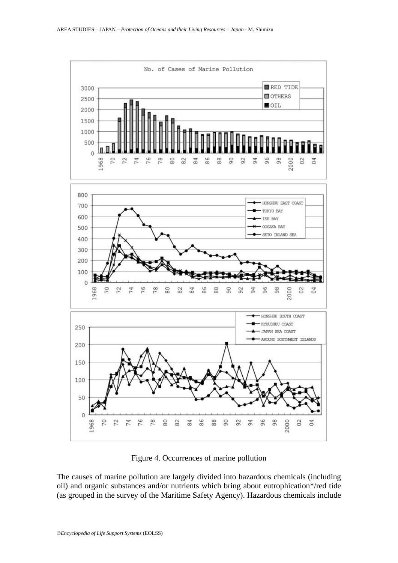

Figure 4. Occurrences of marine pollution

The causes of marine pollution are largely divided into hazardous chemicals (including oil) and organic substances and/or nutrients which bring about eutrophication\*/red tide (as grouped in the survey of the Maritime Safety Agency). Hazardous chemicals include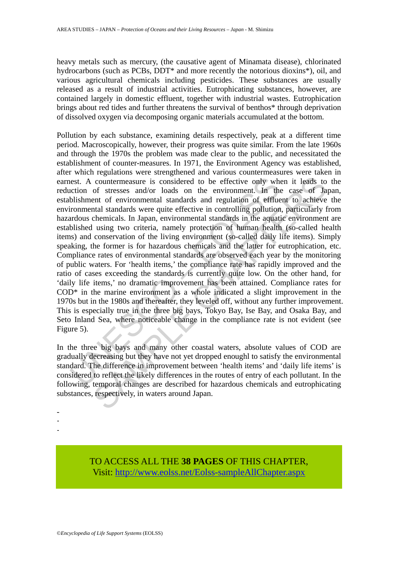heavy metals such as mercury, (the causative agent of Minamata disease), chlorinated hydrocarbons (such as PCBs, DDT<sup>\*</sup> and more recently the notorious dioxins<sup>\*</sup>), oil, and various agricultural chemicals including pesticides. These substances are usually released as a result of industrial activities. Eutrophicating substances, however, are contained largely in domestic effluent, together with industrial wastes. Eutrophication brings about red tides and further threatens the survival of benthos\* through deprivation of dissolved oxygen via decomposing organic materials accumulated at the bottom.

est. A countermeasure is considered to be effective only wh<br>cition of stresses and/or loads on the environment. In the<br>blishment of environmental standards and regulation of efflue<br>ironmental standards were quite effective countermeasure is considered to be effective only when it leads to of stresses and/or loads on the environment. In the case of Ia entired to a actual standards were quite effective in controlling pollution, particularly ch Pollution by each substance, examining details respectively, peak at a different time period. Macroscopically, however, their progress was quite similar. From the late 1960s and through the 1970s the problem was made clear to the public, and necessitated the establishment of counter-measures. In 1971, the Environment Agency was established, after which regulations were strengthened and various countermeasures were taken in earnest. A countermeasure is considered to be effective only when it leads to the reduction of stresses and/or loads on the environment. In the case of Japan, establishment of environmental standards and regulation of effluent to achieve the environmental standards were quite effective in controlling pollution, particularly from hazardous chemicals. In Japan, environmental standards in the aquatic environment are established using two criteria, namely protection of human health (so-called health items) and conservation of the living environment (so-called daily life items). Simply speaking, the former is for hazardous chemicals and the latter for eutrophication, etc. Compliance rates of environmental standards are observed each year by the monitoring of public waters. For 'health items,' the compliance rate has rapidly improved and the ratio of cases exceeding the standards is currently quite low. On the other hand, for 'daily life items,' no dramatic improvement has been attained. Compliance rates for COD\* in the marine environment as a whole indicated a slight improvement in the 1970s but in the 1980s and thereafter, they leveled off, without any further improvement. This is especially true in the three big bays, Tokyo Bay, Ise Bay, and Osaka Bay, and Seto Inland Sea, where noticeable change in the compliance rate is not evident (see Figure 5).

In the three big bays and many other coastal waters, absolute values of COD are gradually decreasing but they have not yet dropped enoughl to satisfy the environmental standard. The difference in improvement between 'health items' and 'daily life items' is considered to reflect the likely differences in the routes of entry of each pollutant. In the following, temporal changes are described for hazardous chemicals and eutrophicating substances, respectively, in waters around Japan.

- -

-

TO ACCESS ALL THE **38 PAGES** OF THIS CHAPTER, Visit: [http://www.eolss.net/Eolss-sampleAllChapter.aspx](https://www.eolss.net/ebooklib/sc_cart.aspx?File=E1-57-16-00)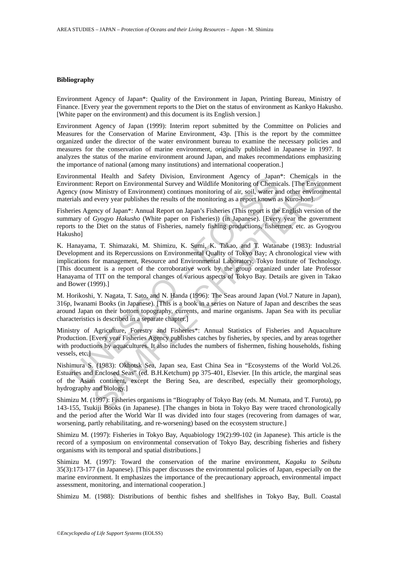#### **Bibliography**

Environment Agency of Japan\*: Quality of the Environment in Japan, Printing Bureau, Ministry of Finance. [Every year the government reports to the Diet on the status of environment as Kankyo Hakusho. [White paper on the environment) and this document is its English version.]

Environment Agency of Japan (1999): Interim report submitted by the Committee on Policies and Measures for the Conservation of Marine Environment, 43p. [This is the report by the committee organized under the director of the water environment bureau to examine the necessary policies and measures for the conservation of marine environment, originally published in Japanese in 1997. It analyzes the status of the marine environment around Japan, and makes recommendations emphasizing the importance of national (among many institutions) and international cooperation.]

Environmental Health and Safety Division, Environment Agency of Japan\*: Chemicals in the Environment: Report on Environmental Survey and Wildlife Monitoring of Chemicals. [The Environment Agency (now Ministry of Environment) continues monitoring of air, soil, water and other environmental materials and every year publishes the results of the monitoring as a report known as Kuro-hon].

Fisheries Agency of Japan\*: Annual Report on Japan's Fisheries (This report is the English version of the summary of *Gyogyo Hakusho* (White paper on Fisheries)) (in Japanese). [Every year the government reports to the Diet on the status of Fisheries, namely fishing productions, fishermen, etc. as Gyogyou Hakusho]

rommental Health and Safety Division, Environmental Separcy of Japannon<br>romment: Report on Environmental Survey and Wildlife Monitoring of Chemic<br>exp (now Ministry of Environmental Survey and Wildlife Monitoring of Chemic<br> al Health and Statey Division, Environment Agency of Japan®: Chemicals in<br>Report on Environmental Survey and Wildlife Monitoring of Chemicals [The Environ<br>Ministry of Environment) continues monitoring of air, soil, water a K. Hanayama, T. Shimazaki, M. Shimizu, K. Sumi, K. Takao, and T. Watanabe (1983): Industrial Development and its Repercussions on Environmental Quality of Tokyo Bay; A chronological view with implications for management, Resource and Environmental Laboratory, Tokyo Institute of Technology. [This document is a report of the corroborative work by the group organized under late Professor Hanayama of TIT on the temporal changes of various aspects of Tokyo Bay. Details are given in Takao and Bower (1999).]

M. Horikoshi, Y. Nagata, T. Sato, and N. Handa (1996): The Seas around Japan (Vol.7 Nature in Japan), 316p, Iwanami Books (in Japanese). [This is a book in a series on Nature of Japan and describes the seas around Japan on their bottom topography, currents, and marine organisms. Japan Sea with its peculiar characteristics is described in a separate chapter.]

Ministry of Agriculture, Forestry and Fisheries\*: Annual Statistics of Fisheries and Aquaculture Production. [Every year Fisheries Agency publishes catches by fisheries, by species, and by areas together with productions by aquacultures. It also includes the numbers of fishermen, fishing households, fishing vessels, etc.]

Nishimura S. (1983): Okhotsk Sea, Japan sea, East China Sea in "Ecosystems of the World Vol.26. Estuaries and Enclosed Seas" (ed. B.H.Ketchum) pp 375-401, Elsevier. [In this article, the marginal seas of the Asian continent, except the Bering Sea, are described, especially their geomorphology, hydrography and biology.]

Shimizu M. (1997): Fisheries organisms in "Biography of Tokyo Bay (eds. M. Numata, and T. Furota), pp 143-155, Tsukiji Books (in Japanese). [The changes in biota in Tokyo Bay were traced chronologically and the period after the World War II was divided into four stages (recovering from damages of war, worsening, partly rehabilitating, and re-worsening) based on the ecosystem structure.]

Shimizu M. (1997): Fisheries in Tokyo Bay, Aquabiology 19(2):99-102 (in Japanese). This article is the record of a symposium on environmental conservation of Tokyo Bay, describing fisheries and fishery organisms with its temporal and spatial distributions.]

Shimizu M. (1997): Toward the conservation of the marine environment, *Kagaku to Seibutu* 35(3):173-177 (in Japanese). [This paper discusses the environmental policies of Japan, especially on the marine environment. It emphasizes the importance of the precautionary approach, environmental impact assessment, monitoring, and international cooperation.]

Shimizu M. (1988): Distributions of benthic fishes and shellfishes in Tokyo Bay, Bull. Coastal